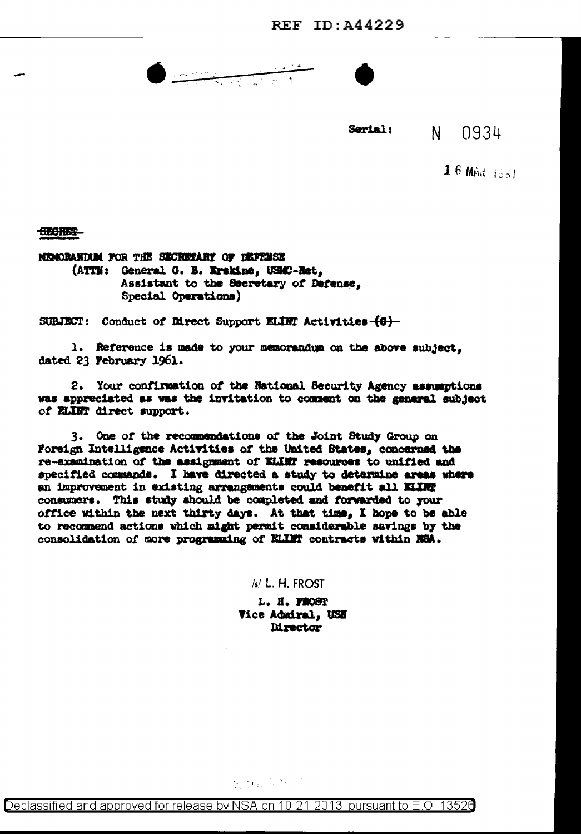REF  $ID: A44229$ 

 $\bullet$  and the state  $\overline{\phantom{a}}$ 



Serial:  $N -$ 0934

1 6 MAR  $1551$ 

**CECHER** 

MENORAHUSM FOR THE SECRETARY OF DEFINISE (ATTN: General G. B. Erskine, USMC-Ret, Assistant to the Secretary of Defense, Special Operations)

SUBJECT: Conduct of Direct Support ELINT Activities  $\{0\}$ 

1. Reference is made to your memorandum on the above subject. dated 23 February 1961.

2. Your confirmation of the National Security Agency assumptions was appreciated as was the invitation to comment on the general subject of ELINT direct support.

3. One of the recommendations of the Joint Study Group on Foreign Intelligence Activities of the United States, concerned the re-examination of the assignment of KLIRT resources to unified and specified commands. I have directed a study to determine areas where an improvement in existing arrangements could benefit all KLKV consumers. This study should be completed and forwarded to your office within the next thirty days. At that time, I hope to be able to recommend actions which might permit considerable savings by the consolidation of more programming of ELLET contracts within NSA.

/s/ L. H. FROST

L. H. FROST Vice Admiral, USE **Mrector** 

State Const

Declassified and approved for release by NSA on 10-21-2013 pursuant to E.O. 13526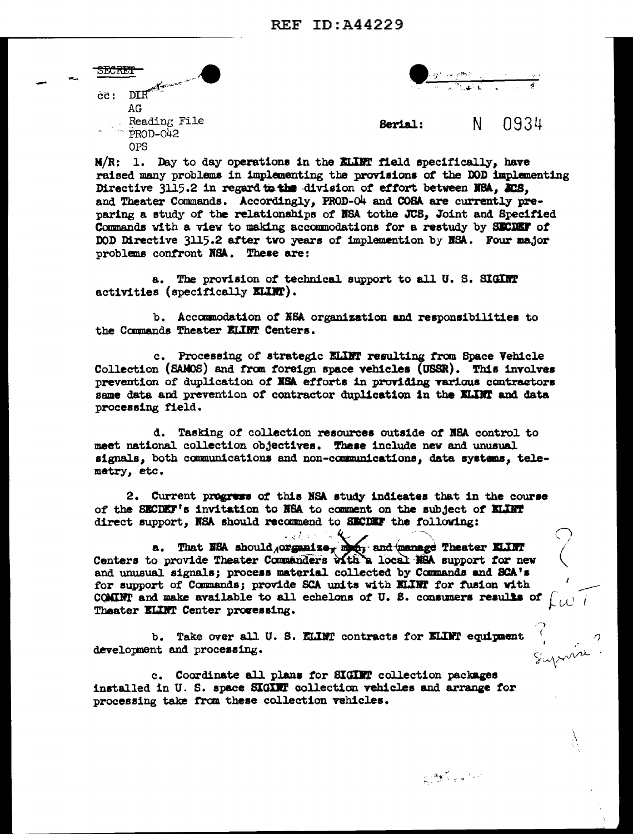|  | <b>DIUTET</b>                                   |  |
|--|-------------------------------------------------|--|
|  | DIR <sup>ection</sup><br>$\tilde{c}\tilde{c}$ : |  |
|  | AG                                              |  |
|  | Reading File<br>PROD-042                        |  |
|  |                                                 |  |
|  |                                                 |  |

an gitting.<br>T

Suprome

المستعادين وأنهجت

N 0934 Serial:

 $M/R$ : 1. Day to day operations in the KLINT field specifically, have raised many problems in implementing the provisions of the DOD implementing Directive 3115.2 in regard to the division of effort between NRA. 208. and Theater Commands. Accordingly, PROD-O4 and COSA are currently preparing a study of the relationships of NSA tothe JCS. Joint and Specified Commands with a view to making accommodations for a restudy by SECDEF of DOD Directive 3115.2 after two years of implemention by NSA. Four major problems confront NSA. These are:

a. The provision of technical support to all U. S. SIGINT activities (specifically **ELINT)**.

b. Accommodation of NSA organization and responsibilities to the Commands Theater KLINT Centers.

c. Processing of strategic ELLET resulting from Space Vehicle Collection (SAMOS) and from foreign space vehicles (USSR). This involves prevention of duplication of NSA efforts in providing various contractors same data and prevention of contractor duplication in the ELIMT and data processing field.

d. Tasking of collection resources outside of NSA control to meet national collection objectives. These include new and unusual signals, both communications and non-communications, data systems, telemetry, etc.

2. Current progress of this NSA study indicates that in the course of the SECDEF's invitation to NSA to comment on the subject of ELLET direct support, NSA should recommend to SECDEF the following:

્ ક્ષ્

 $\mathcal{L} \rightarrow \mathcal{L} \rightarrow \mathcal{L}$ 

a. That NEA should organize, month, and manage Theater KLINT Centers to provide Theater Commanders with a local NEA support for new and unusual signals; process material collected by Commands and SCA's for support of Commands; provide SCA units with KLINT for fusion with COMINT and make available to all echelons of U.S. consumers results of  $\int_{\mathcal{C}}$ Theater ELINT Center provessing.

b. Take over all U. S. ELINT contracts for ELINT equipment development and processing.

c. Coordinate all plans for SIGINT collection packages installed in U. S. space SIGINT collection vehicles and arrange for processing take from these collection vehicles.